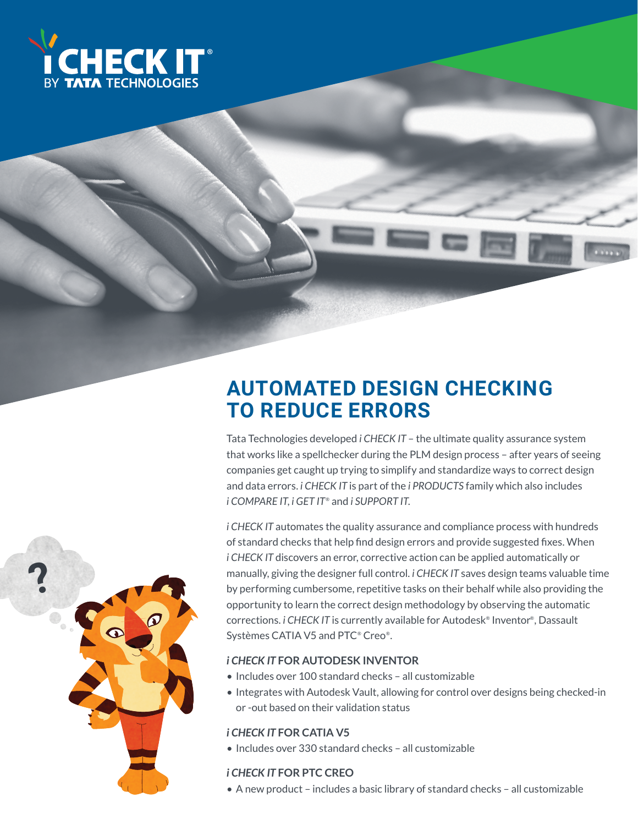

### **AUTOMATED DESIGN CHECKING TO REDUCE ERRORS**

Tata Technologies developed *i CHECK IT* – the ultimate quality assurance system that works like a spellchecker during the PLM design process – after years of seeing companies get caught up trying to simplify and standardize ways to correct design and data errors. *i CHECK IT* is part of the *i PRODUCTS* family which also includes *i COMPARE IT*, *i GET IT*® and *i SUPPORT IT*.

*i CHECK IT* automates the quality assurance and compliance process with hundreds of standard checks that help find design errors and provide suggested fixes. When *i CHECK IT* discovers an error, corrective action can be applied automatically or manually, giving the designer full control. *i CHECK IT* saves design teams valuable time by performing cumbersome, repetitive tasks on their behalf while also providing the opportunity to learn the correct design methodology by observing the automatic corrections. *i CHECK IT* is currently available for Autodesk® Inventor®, Dassault Systèmes CATIA V5 and PTC® Creo®.

#### *i CHECK IT* **FOR AUTODESK INVENTOR**

- Includes over 100 standard checks all customizable
- Integrates with Autodesk Vault, allowing for control over designs being checked-in or -out based on their validation status

### *i CHECK IT* **FOR CATIA V5**

• Includes over 330 standard checks – all customizable

#### *i CHECK IT* **FOR PTC CREO**

• A new product – includes a basic library of standard checks – all customizable